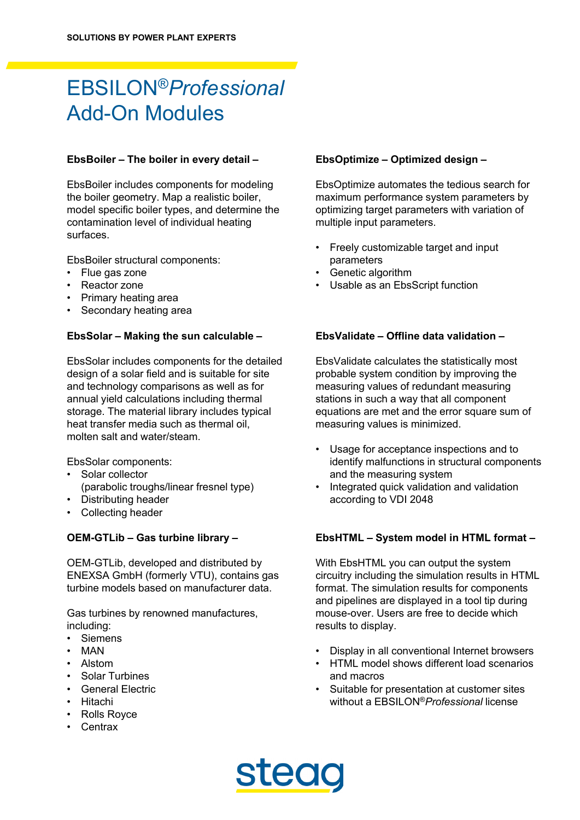# EBSILON®*Professional* Add-On Modules

### **EbsBoiler – The boiler in every detail –**

EbsBoiler includes components for modeling the boiler geometry. Map a realistic boiler, model specific boiler types, and determine the contamination level of individual heating surfaces.

EbsBoiler structural components:

- Flue gas zone
- Reactor zone
- Primary heating area
- Secondary heating area

### **EbsSolar – Making the sun calculable –**

EbsSolar includes components for the detailed design of a solar field and is suitable for site and technology comparisons as well as for annual yield calculations including thermal storage. The material library includes typical heat transfer media such as thermal oil, molten salt and water/steam.

EbsSolar components:

- Solar collector (parabolic troughs/linear fresnel type)
- Distributing header
- Collecting header

#### **OEM-GTLib – Gas turbine library –**

OEM-GTLib, developed and distributed by ENEXSA GmbH (formerly VTU), contains gas turbine models based on manufacturer data.

Gas turbines by renowned manufactures, including:

- **Siemens**
- MAN
- Alstom
- Solar Turbines
- General Electric
- Hitachi
- Rolls Royce
- Centrax

# **EbsOptimize – Optimized design –**

EbsOptimize automates the tedious search for maximum performance system parameters by optimizing target parameters with variation of multiple input parameters.

- Freely customizable target and input parameters
- Genetic algorithm
- Usable as an EbsScript function

# **EbsValidate – Offline data validation –**

EbsValidate calculates the statistically most probable system condition by improving the measuring values of redundant measuring stations in such a way that all component equations are met and the error square sum of measuring values is minimized.

- Usage for acceptance inspections and to identify malfunctions in structural components and the measuring system
- Integrated quick validation and validation according to VDI 2048

# **EbsHTML – System model in HTML format –**

With EbsHTML you can output the system circuitry including the simulation results in HTML format. The simulation results for components and pipelines are displayed in a tool tip during mouse-over. Users are free to decide which results to display.

- Display in all conventional Internet browsers
- HTML model shows different load scenarios and macros
- Suitable for presentation at customer sites without a EBSILON®*Professional* license